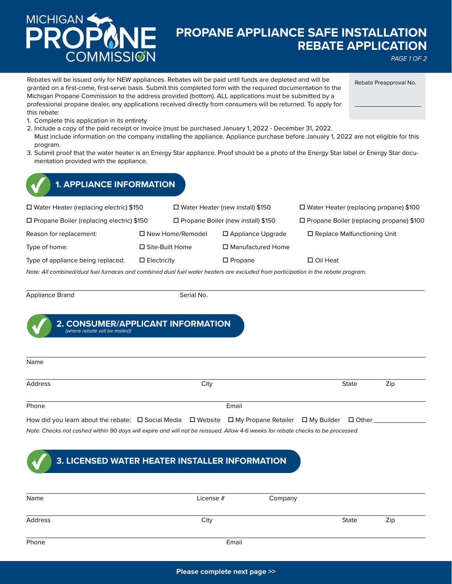# **PROP&NE** MICHIGAN **COMMISSION**

# **PROPANE APPLIANCE SAFE INSTALLATION REBATE APPLICATION**

*PAGE 1 OF 2*

Rebate Preapproval No.

Rebates will be issued only for NEW appliances. Rebates will be paid until funds are depleted and will be granted on a first-come, first-serve basis. Submit this completed form with the required documentation to the Michigan Propane Commission to the address provided (bottom). ALL applications must be submitted by a professional propane dealer, any applications received directly from consumers will be returned. To apply for this rebate:

- 1. Complete this application in its entirety
- 2. Include a copy of the paid receipt or invoice (must be purchased January 1, 2022 December 31, 2022.
- Must include information on the company installing the appliance. Appliance purchase before January 1, 2022 are not eligible for this program.
- 3. Submit proof that the water heater is an Energy Star appliance. Proof should be a photo of the Energy Star label or Energy Star documentation provided with the appliance.

| <b>1. APPLIANCE INFORMATION</b>                |                           |                                         |                                      |                                                 |  |
|------------------------------------------------|---------------------------|-----------------------------------------|--------------------------------------|-------------------------------------------------|--|
| $\Box$ Water Heater (replacing electric) \$150 |                           | $\Box$ Water Heater (new install) \$150 |                                      | $\Box$ Water Heater (replacing propane) \$100   |  |
| □ Propane Boiler (replacing electric) \$150    |                           |                                         | □ Propane Boiler (new install) \$150 | $\Box$ Propane Boiler (replacing propane) \$100 |  |
| Reason for replacement:                        |                           | $\square$ New Home/Remodel              | $\square$ Appliance Upgrade          | $\Box$ Replace Malfunctioning Unit              |  |
| Type of home:                                  | $\square$ Site-Built Home |                                         | $\Box$ Manufactured Home             |                                                 |  |
| Type of appliance being replaced:              | $\square$ Electricity     |                                         | $\square$ Propane                    | $\Box$ Oil Heat                                 |  |

*Note: All combined/dual fuel furnaces and combined dual fuel water heaters are excluded from participation in the rebate program.*

Appliance Brand Serial No.

## **2. CONSUMER/APPLICANT INFORMATION**

*(where rebate will be mailed)*

| Name    |       |       |     |  |
|---------|-------|-------|-----|--|
| Address | City  | State | Zip |  |
| Phone   | Email |       |     |  |

How did you learn about the rebate:  $\Box$  Social Media  $\Box$  Website  $\Box$  My Propane Retailer  $\Box$  My Builder  $\Box$  Other  $\Box$ *Note: Checks not cashed within 90 days will expire and will not be reissued. Allow 4-6 weeks for rebate checks to be processed.*

# **3. LICENSED WATER HEATER INSTALLER INFORMATION**

| Name    | License # | Company |       |     |
|---------|-----------|---------|-------|-----|
| Address | City      |         | State | Zip |
| Phone   | Email     |         |       |     |